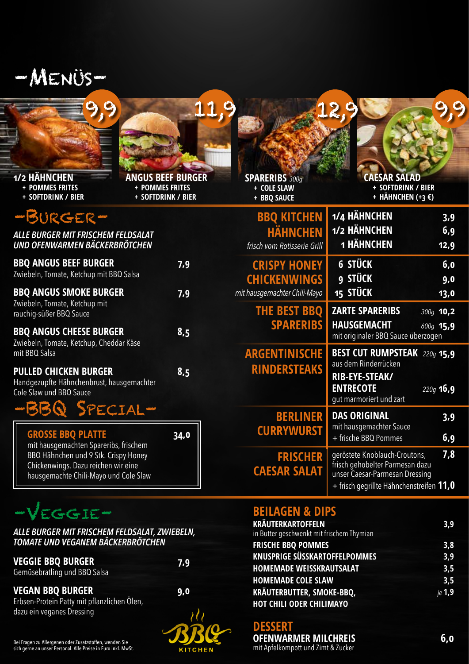

| 1/2 HÄHNCHEN |  |  |
|--------------|--|--|

**+ POMMES FRITES**

**+ SOFTDRINK / BIER** 



**+ POMMES FRITES + SOFTDRINK / BIER** 

## $P - P$

| <b>THE R. P. LEWIS CO., LANSING MICH. 49-14039-1-120-2</b>                                           |     |
|------------------------------------------------------------------------------------------------------|-----|
| ALLE BURGER MIT FRISCHEM FELDSALAT<br><b>UND OFENWARMEN BÄCKERBRÖTCHEN</b>                           |     |
| <b>BBQ ANGUS BEEF BURGER</b><br>Zwiebeln, Tomate, Ketchup mit BBQ Salsa                              | 7,9 |
| <b>BBQ ANGUS SMOKE BURGER</b><br>Zwiebeln, Tomate, Ketchup mit<br>rauchig-süßer BBQ Sauce            | 7,9 |
| <b>BBQ ANGUS CHEESE BURGER</b><br>Zwiebeln, Tomate, Ketchup, Cheddar Käse<br>mit BBQ Salsa           | 8,5 |
| <b>PULLED CHICKEN BURGER</b><br>Handgezupfte Hähnchenbrust, hausgemachter<br>Cole Slaw und BBQ Sauce | 8,5 |

## –BBQ Special–

| <b>GROSSE BBQ PLATTE</b>              | 34,0 |
|---------------------------------------|------|
| mit hausgemachten Spareribs, frischem |      |
| BBQ Hähnchen und 9 Stk. Crispy Honey  |      |
| Chickenwings. Dazu reichen wir eine   |      |
| hausgemachte Chili-Mayo und Cole Slaw |      |
|                                       |      |

# –Veggie– **BEILAGEN & DIPS**

#### *ALLE BURGER MIT FRISCHEM FELDSALAT, ZWIEBELN, TOMATE UND VEGANEM BÄCKERBRÖTCHEN*

| <b>VEGGIE BBQ BURGER</b>     | 7,9 |
|------------------------------|-----|
| Gemüsebratling und BBQ Salsa |     |

### **VEGAN BBQ BURGER 9,0**

Erbsen-Protein Patty mit pflanzlichen Ölen, dazu ein veganes Dressing



**SPARERIBS** *300g*  **+ COLE SLAW + BBQ SAUCE**

| <b>KRÄUTERKARTOFFELN</b><br>in Butter geschwenkt mit frischem Thymian | 3.9    |
|-----------------------------------------------------------------------|--------|
| <b>FRISCHE BBQ POMMES</b>                                             | 3,8    |
| <b>KNUSPRIGE SÜSSKARTOFFELPOMMES</b>                                  | 3.9    |
| <b>HOMEMADE WEISSKRAUTSALAT</b>                                       | 3,5    |
| <b>HOMEMADE COLE SLAW</b>                                             | 3,5    |
| KRÄUTERBUTTER, SMOKE-BBQ,                                             | je 1,9 |
| <b>HOT CHILI ODER CHILIMAYO</b>                                       |        |

**DESSERT**

**OFENWARMER MILCHREIS 6,0** mit Apfelkompott und Zimt & Zucker

Bei Fragen zu Allergenen oder Zusatzstoffen, wenden Sie sich gerne an unser Personal. Alle Preise in Euro inkl. MwSt.

# **CAESAR SALAD + SOFTDRINK / BIER + HÄHNCHEN (+3 €)**

| <b>BBQ KITCHEN</b><br><b>HÄHNCHEN</b><br>frisch vom Rotisserie Grill       | 1/4 HÄHNCHEN<br>3.9<br>1/2 HÄHNCHEN<br>6,9<br>1 HÄHNCHEN<br>12,9                                                                                      |  |
|----------------------------------------------------------------------------|-------------------------------------------------------------------------------------------------------------------------------------------------------|--|
| <b>CRISPY HONEY</b><br><b>CHICKENWINGS</b><br>mit hausgemachter Chili-Mayo | 6 STÜCK<br>6,0<br>9 STÜCK<br>9,0<br><b>15 STÜCK</b><br>13,0                                                                                           |  |
| <b>THE BEST BBQ</b><br><b>SPARERIBS</b>                                    | <b>ZARTE SPARERIBS</b><br>300g 10,2<br><b>HAUSGEMACHT</b><br>600g 15,9<br>mit originaler BBQ Sauce überzogen                                          |  |
| <b>ARGENTINISCHE</b><br><b>RINDERSTEAKS</b>                                | <b>BEST CUT RUMPSTEAK</b><br>220g 15,9<br>aus dem Rinderrücken<br>RIB-EYE-STEAK/<br><b>ENTRECOTE</b><br>220g <b>16,9</b><br>gut marmoriert und zart   |  |
| <b>BERLINER</b><br><b>CURRYWURST</b>                                       | <b>DAS ORIGINAL</b><br>3,9<br>mit hausgemachter Sauce<br>6,9<br>+ frische BBQ Pommes                                                                  |  |
| <b>FRISCHER</b><br><b>CAESAR SALAT</b>                                     | 7,8<br>geröstete Knoblauch-Croutons,<br>frisch gehobelter Parmesan dazu<br>unser Caesar-Parmesan Dressing<br>+ frisch gegrillte Hähnchenstreifen 11,0 |  |